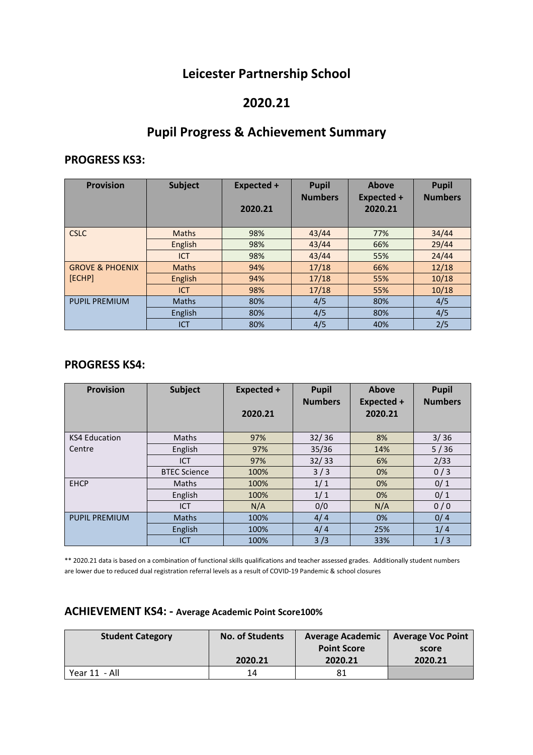## **Leicester Partnership School**

### **2020.21**

# **Pupil Progress & Achievement Summary**

#### **PROGRESS KS3:**

| <b>Provision</b>           | <b>Subject</b> | Expected +<br>2020.21 | <b>Pupil</b><br><b>Numbers</b> | Above<br><b>Expected +</b><br>2020.21 | <b>Pupil</b><br><b>Numbers</b> |
|----------------------------|----------------|-----------------------|--------------------------------|---------------------------------------|--------------------------------|
| <b>CSLC</b>                | <b>Maths</b>   | 98%                   | 43/44                          | 77%                                   | 34/44                          |
|                            | English        | 98%                   | 43/44                          | 66%                                   | 29/44                          |
|                            | <b>ICT</b>     | 98%                   | 43/44                          | 55%                                   | 24/44                          |
| <b>GROVE &amp; PHOENIX</b> | <b>Maths</b>   | 94%                   | 17/18                          | 66%                                   | 12/18                          |
| [ECHP]                     | English        | 94%                   | 17/18                          | 55%                                   | 10/18                          |
|                            | <b>ICT</b>     | 98%                   | 17/18                          | 55%                                   | 10/18                          |
| <b>PUPIL PREMIUM</b>       | <b>Maths</b>   | 80%                   | 4/5                            | 80%                                   | 4/5                            |
|                            | English        | 80%                   | 4/5                            | 80%                                   | 4/5                            |
|                            | <b>ICT</b>     | 80%                   | 4/5                            | 40%                                   | 2/5                            |

### **PROGRESS KS4:**

| <b>Provision</b>     | <b>Subject</b>      | Expected + | <b>Pupil</b><br><b>Numbers</b> | Above<br><b>Expected +</b> | <b>Pupil</b><br><b>Numbers</b> |
|----------------------|---------------------|------------|--------------------------------|----------------------------|--------------------------------|
|                      |                     | 2020.21    |                                | 2020.21                    |                                |
| <b>KS4 Education</b> | Maths               | 97%        | 32/36                          | 8%                         | 3/36                           |
| Centre               | English             | 97%        | 35/36                          | 14%                        | 5/36                           |
|                      | <b>ICT</b>          | 97%        | 32/33                          | 6%                         | 2/33                           |
|                      | <b>BTEC Science</b> | 100%       | 3/3                            | 0%                         | 0/3                            |
| <b>EHCP</b>          | Maths               | 100%       | 1/1                            | 0%                         | 0/1                            |
|                      | English             | 100%       | 1/1                            | 0%                         | 0/1                            |
|                      | ICT                 | N/A        | 0/0                            | N/A                        | 0/0                            |
| <b>PUPIL PREMIUM</b> | <b>Maths</b>        | 100%       | 4/4                            | 0%                         | 0/4                            |
|                      | English             | 100%       | 4/4                            | 25%                        | 1/4                            |
|                      | <b>ICT</b>          | 100%       | 3/3                            | 33%                        | 1/3                            |

\*\* 2020.21 data is based on a combination of functional skills qualifications and teacher assessed grades. Additionally student numbers are lower due to reduced dual registration referral levels as a result of COVID-19 Pandemic & school closures

| <b>Student Category</b> | <b>No. of Students</b> | <b>Average Academic</b> | <b>Average Voc Point</b> |
|-------------------------|------------------------|-------------------------|--------------------------|
|                         |                        | <b>Point Score</b>      | score                    |
|                         | 2020.21                | 2020.21                 | 2020.21                  |
| Year 11 - All           | 14                     | 81                      |                          |

#### **ACHIEVEMENT KS4: - Average Academic Point Score100%**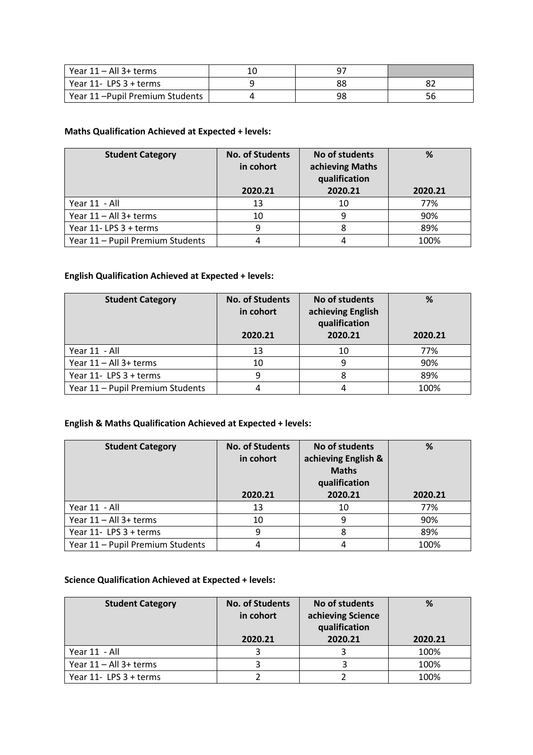| Year 11 – All 3+ terms         |    |    |
|--------------------------------|----|----|
| Year $11 - LPS$ 3 + terms      | 88 |    |
| Year 11-Pupil Premium Students | 98 | 56 |

#### **Maths Qualification Achieved at Expected + levels:**

| <b>Student Category</b>          | <b>No. of Students</b><br>in cohort<br>2020.21 | No of students<br>achieving Maths<br>qualification | %       |
|----------------------------------|------------------------------------------------|----------------------------------------------------|---------|
|                                  |                                                | 2020.21                                            | 2020.21 |
| Year 11 - All                    | 13                                             | 10                                                 | 77%     |
| Year 11 - All 3+ terms           | 10                                             |                                                    | 90%     |
| Year 11-LPS 3 + terms            | 9                                              |                                                    | 89%     |
| Year 11 - Pupil Premium Students |                                                |                                                    | 100%    |

#### **English Qualification Achieved at Expected + levels:**

| <b>Student Category</b>          | <b>No. of Students</b><br>in cohort<br>2020.21 | No of students<br>achieving English<br>qualification<br>2020.21 | %<br>2020.21 |
|----------------------------------|------------------------------------------------|-----------------------------------------------------------------|--------------|
| Year 11 - All                    | 13                                             | 10                                                              | 77%          |
| Year 11 - All 3+ terms           | 10                                             |                                                                 | 90%          |
| Year 11- LPS 3 + terms           | q                                              |                                                                 | 89%          |
| Year 11 - Pupil Premium Students |                                                |                                                                 | 100%         |

#### **English & Maths Qualification Achieved at Expected + levels:**

| <b>Student Category</b>          | <b>No. of Students</b><br>in cohort<br>2020.21 | No of students<br>achieving English &<br><b>Maths</b><br>qualification<br>2020.21 | %<br>2020.21 |
|----------------------------------|------------------------------------------------|-----------------------------------------------------------------------------------|--------------|
| Year 11 - All                    | 13                                             | 10                                                                                | 77%          |
| Year 11 - All 3+ terms           | 10                                             | q                                                                                 | 90%          |
| Year 11- LPS 3 + terms           | q                                              |                                                                                   | 89%          |
| Year 11 - Pupil Premium Students |                                                |                                                                                   | 100%         |

#### **Science Qualification Achieved at Expected + levels:**

| <b>Student Category</b> | <b>No. of Students</b><br>in cohort | No of students<br>achieving Science<br>qualification | %       |
|-------------------------|-------------------------------------|------------------------------------------------------|---------|
|                         | 2020.21                             | 2020.21                                              | 2020.21 |
| Year 11 - All           |                                     |                                                      | 100%    |
| Year 11 - All 3+ terms  |                                     |                                                      | 100%    |
| Year 11- LPS 3 + terms  |                                     |                                                      | 100%    |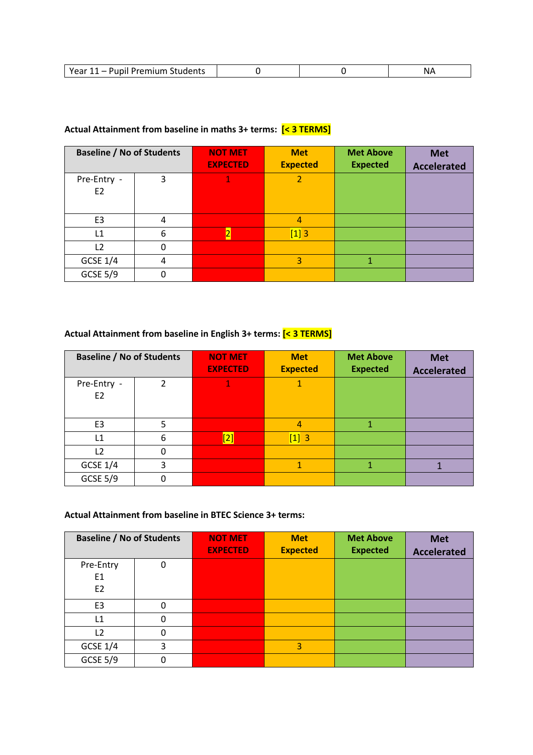| __ | Voor<br>.<br>$11$ $222$<br>Students<br>remilim |  |  |  |
|----|------------------------------------------------|--|--|--|
|----|------------------------------------------------|--|--|--|

#### **Actual Attainment from baseline in maths 3+ terms: [< 3 TERMS]**

| <b>Baseline / No of Students</b> |   | <b>NOT MET</b><br><b>EXPECTED</b> | <b>Met</b><br><b>Expected</b> | <b>Met Above</b><br><b>Expected</b> | <b>Met</b><br><b>Accelerated</b> |
|----------------------------------|---|-----------------------------------|-------------------------------|-------------------------------------|----------------------------------|
| Pre-Entry -<br>E <sub>2</sub>    | 3 |                                   |                               |                                     |                                  |
| E <sub>3</sub>                   | 4 |                                   | 4                             |                                     |                                  |
| L1                               | 6 |                                   | $[1] 3$                       |                                     |                                  |
| L <sub>2</sub>                   | 0 |                                   |                               |                                     |                                  |
| <b>GCSE 1/4</b>                  | 4 |                                   | 3                             |                                     |                                  |
| <b>GCSE 5/9</b>                  | 0 |                                   |                               |                                     |                                  |

## **Actual Attainment from baseline in English 3+ terms: [< 3 TERMS]**

| <b>Baseline / No of Students</b> |                | <b>NOT MET</b><br><b>EXPECTED</b> | <b>Met</b><br><b>Expected</b> | <b>Met Above</b><br><b>Expected</b> | <b>Met</b><br><b>Accelerated</b> |
|----------------------------------|----------------|-----------------------------------|-------------------------------|-------------------------------------|----------------------------------|
| Pre-Entry -<br>E <sub>2</sub>    | $\mathfrak{p}$ |                                   |                               |                                     |                                  |
| E <sub>3</sub>                   | 5              |                                   | 4                             |                                     |                                  |
| L1                               | 6              | <u>[2]</u>                        | $[1] 3$                       |                                     |                                  |
| L <sub>2</sub>                   | 0              |                                   |                               |                                     |                                  |
| <b>GCSE 1/4</b>                  | 3              |                                   |                               |                                     |                                  |
| <b>GCSE 5/9</b>                  | 0              |                                   |                               |                                     |                                  |

#### **Actual Attainment from baseline in BTEC Science 3+ terms:**

| <b>Baseline / No of Students</b> |   | <b>NOT MET</b><br><b>EXPECTED</b> | <b>Met</b><br><b>Expected</b> | <b>Met Above</b><br><b>Expected</b> | <b>Met</b><br><b>Accelerated</b> |
|----------------------------------|---|-----------------------------------|-------------------------------|-------------------------------------|----------------------------------|
| Pre-Entry                        | 0 |                                   |                               |                                     |                                  |
| E1                               |   |                                   |                               |                                     |                                  |
| E <sub>2</sub>                   |   |                                   |                               |                                     |                                  |
| E <sub>3</sub>                   | 0 |                                   |                               |                                     |                                  |
| L1                               | 0 |                                   |                               |                                     |                                  |
| L2                               | 0 |                                   |                               |                                     |                                  |
| <b>GCSE 1/4</b>                  | 3 |                                   | 3                             |                                     |                                  |
| <b>GCSE 5/9</b>                  | 0 |                                   |                               |                                     |                                  |